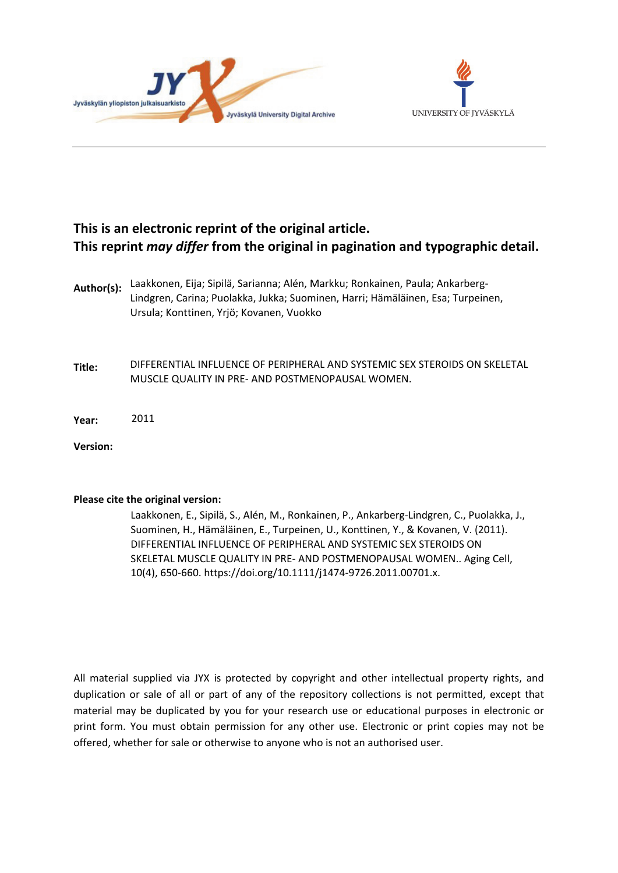



## **This is an electronic reprint of the original article. This reprint** *may differ* **from the original in pagination and typographic detail.**

- **Author(s):**  Laakkonen, Eija; Sipilä, Sarianna; Alén, Markku; Ronkainen, Paula; Ankarberg-Lindgren, Carina; Puolakka, Jukka; Suominen, Harri; Hämäläinen, Esa; Turpeinen, Ursula; Konttinen, Yrjö; Kovanen, Vuokko
- **Title:** DIFFERENTIAL INFLUENCE OF PERIPHERAL AND SYSTEMIC SEX STEROIDS ON SKELETAL MUSCLE QUALITY IN PRE- AND POSTMENOPAUSAL WOMEN.
- **Year:**  2011
- **Version:**

## **Please cite the original version:**

Laakkonen, E., Sipilä, S., Alén, M., Ronkainen, P., Ankarberg-Lindgren, C., Puolakka, J., Suominen, H., Hämäläinen, E., Turpeinen, U., Konttinen, Y., & Kovanen, V. (2011). DIFFERENTIAL INFLUENCE OF PERIPHERAL AND SYSTEMIC SEX STEROIDS ON SKELETAL MUSCLE QUALITY IN PRE- AND POSTMENOPAUSAL WOMEN.. Aging Cell, 10(4), 650-660. https://doi.org/10.1111/j1474-9726.2011.00701.x.

All material supplied via JYX is protected by copyright and other intellectual property rights, and duplication or sale of all or part of any of the repository collections is not permitted, except that material may be duplicated by you for your research use or educational purposes in electronic or print form. You must obtain permission for any other use. Electronic or print copies may not be offered, whether for sale or otherwise to anyone who is not an authorised user.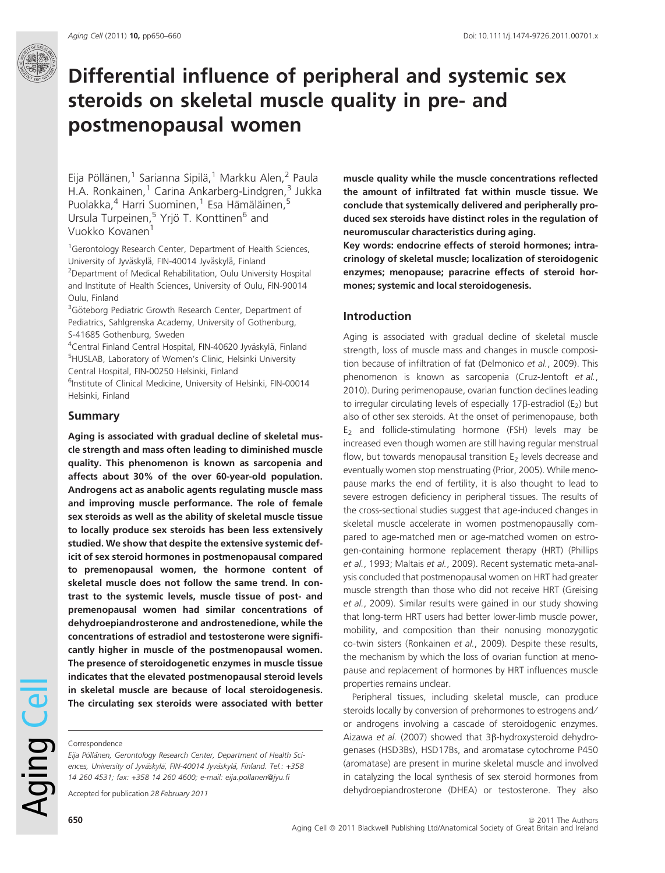

# Differential influence of peripheral and systemic sex steroids on skeletal muscle quality in pre- and postmenopausal women

Eija Pöllänen,<sup>1</sup> Sarianna Sipilä,<sup>1</sup> Markku Alen,<sup>2</sup> Paula H.A. Ronkainen,<sup>1</sup> Carina Ankarberg-Lindgren,<sup>3</sup> Jukka Puolakka,<sup>4</sup> Harri Suominen,<sup>1</sup> Esa Hämäläinen,<sup>5</sup> Ursula Turpeinen,<sup>5</sup> Yrjö T. Konttinen<sup>6</sup> and Vuokko Kovanen<sup>1</sup>

<sup>1</sup> Gerontology Research Center, Department of Health Sciences, University of Jyväskylä, FIN-40014 Jyväskylä, Finland 2 Department of Medical Rehabilitation, Oulu University Hospital and Institute of Health Sciences, University of Oulu, FIN-90014 Oulu, Finland

<sup>3</sup>Göteborg Pediatric Growth Research Center, Department of Pediatrics, Sahlgrenska Academy, University of Gothenburg, S-41685 Gothenburg, Sweden

<sup>4</sup>Central Finland Central Hospital, FIN-40620 Jyväskylä, Finland 5 HUSLAB, Laboratory of Women's Clinic, Helsinki University Central Hospital, FIN-00250 Helsinki, Finland

6 Institute of Clinical Medicine, University of Helsinki, FIN-00014 Helsinki, Finland

#### Summary

Aging is associated with gradual decline of skeletal muscle strength and mass often leading to diminished muscle quality. This phenomenon is known as sarcopenia and affects about 30% of the over 60-year-old population. Androgens act as anabolic agents regulating muscle mass and improving muscle performance. The role of female sex steroids as well as the ability of skeletal muscle tissue to locally produce sex steroids has been less extensively studied. We show that despite the extensive systemic deficit of sex steroid hormones in postmenopausal compared to premenopausal women, the hormone content of skeletal muscle does not follow the same trend. In contrast to the systemic levels, muscle tissue of post- and premenopausal women had similar concentrations of dehydroepiandrosterone and androstenedione, while the concentrations of estradiol and testosterone were significantly higher in muscle of the postmenopausal women. The presence of steroidogenetic enzymes in muscle tissue indicates that the elevated postmenopausal steroid levels in skeletal muscle are because of local steroidogenesis. The circulating sex steroids were associated with better

#### Correspondence

Eija Pöllänen, Gerontology Research Center, Department of Health Sciences, University of Jyväskylä, FIN-40014 Jyväskylä, Finland. Tel.: +358 14 260 4531; fax: +358 14 260 4600; e-mail: eija.pollanen@jyu.fi

Accepted for publication 28 February 2011

muscle quality while the muscle concentrations reflected the amount of infiltrated fat within muscle tissue. We conclude that systemically delivered and peripherally produced sex steroids have distinct roles in the regulation of neuromuscular characteristics during aging.

Key words: endocrine effects of steroid hormones; intracrinology of skeletal muscle; localization of steroidogenic enzymes; menopause; paracrine effects of steroid hormones; systemic and local steroidogenesis.

#### Introduction

Aging is associated with gradual decline of skeletal muscle strength, loss of muscle mass and changes in muscle composition because of infiltration of fat (Delmonico et al., 2009). This phenomenon is known as sarcopenia (Cruz-Jentoft et al., 2010). During perimenopause, ovarian function declines leading to irregular circulating levels of especially 17 $\beta$ -estradiol (E<sub>2</sub>) but also of other sex steroids. At the onset of perimenopause, both  $E<sub>2</sub>$  and follicle-stimulating hormone (FSH) levels may be increased even though women are still having regular menstrual flow, but towards menopausal transition  $E<sub>2</sub>$  levels decrease and eventually women stop menstruating (Prior, 2005). While menopause marks the end of fertility, it is also thought to lead to severe estrogen deficiency in peripheral tissues. The results of the cross-sectional studies suggest that age-induced changes in skeletal muscle accelerate in women postmenopausally compared to age-matched men or age-matched women on estrogen-containing hormone replacement therapy (HRT) (Phillips et al., 1993; Maltais et al., 2009). Recent systematic meta-analysis concluded that postmenopausal women on HRT had greater muscle strength than those who did not receive HRT (Greising et al., 2009). Similar results were gained in our study showing that long-term HRT users had better lower-limb muscle power, mobility, and composition than their nonusing monozygotic co-twin sisters (Ronkainen et al., 2009). Despite these results, the mechanism by which the loss of ovarian function at menopause and replacement of hormones by HRT influences muscle properties remains unclear.

Peripheral tissues, including skeletal muscle, can produce steroids locally by conversion of prehormones to estrogens and/ or androgens involving a cascade of steroidogenic enzymes. Aizawa et al. (2007) showed that 3ß-hydroxysteroid dehydrogenases (HSD3Bs), HSD17Bs, and aromatase cytochrome P450 (aromatase) are present in murine skeletal muscle and involved in catalyzing the local synthesis of sex steroid hormones from dehydroepiandrosterone (DHEA) or testosterone. They also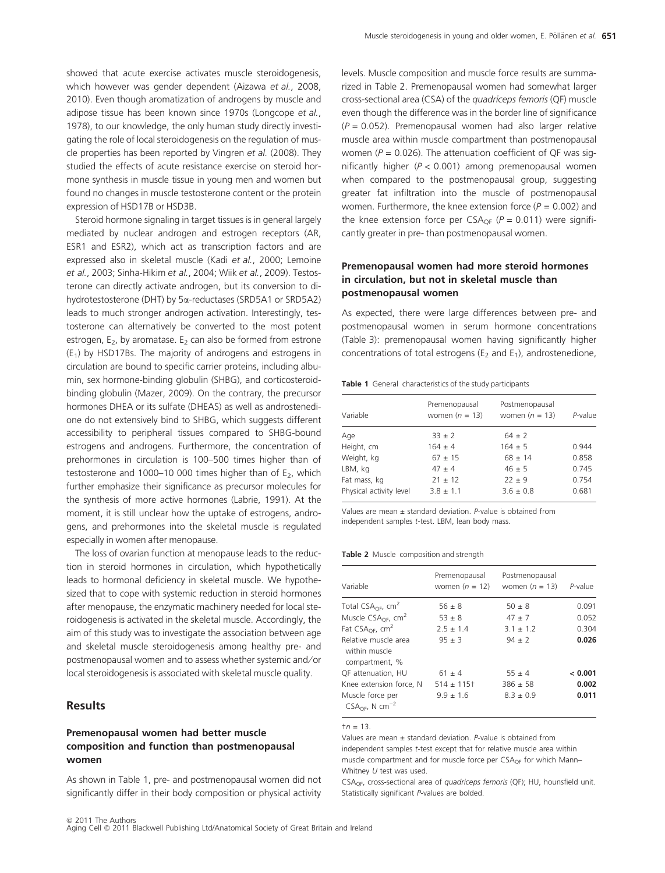showed that acute exercise activates muscle steroidogenesis, which however was gender dependent (Aizawa et al., 2008, 2010). Even though aromatization of androgens by muscle and adipose tissue has been known since 1970s (Longcope et al., 1978), to our knowledge, the only human study directly investigating the role of local steroidogenesis on the regulation of muscle properties has been reported by Vingren et al. (2008). They studied the effects of acute resistance exercise on steroid hormone synthesis in muscle tissue in young men and women but found no changes in muscle testosterone content or the protein expression of HSD17B or HSD3B.

Steroid hormone signaling in target tissues is in general largely mediated by nuclear androgen and estrogen receptors (AR, ESR1 and ESR2), which act as transcription factors and are expressed also in skeletal muscle (Kadi et al., 2000; Lemoine et al., 2003; Sinha-Hikim et al., 2004; Wiik et al., 2009). Testosterone can directly activate androgen, but its conversion to dihydrotestosterone (DHT) by 5a-reductases (SRD5A1 or SRD5A2) leads to much stronger androgen activation. Interestingly, testosterone can alternatively be converted to the most potent estrogen,  $E_2$ , by aromatase.  $E_2$  can also be formed from estrone  $(E_1)$  by HSD17Bs. The majority of androgens and estrogens in circulation are bound to specific carrier proteins, including albumin, sex hormone-binding globulin (SHBG), and corticosteroidbinding globulin (Mazer, 2009). On the contrary, the precursor hormones DHEA or its sulfate (DHEAS) as well as androstenedione do not extensively bind to SHBG, which suggests different accessibility to peripheral tissues compared to SHBG-bound estrogens and androgens. Furthermore, the concentration of prehormones in circulation is 100–500 times higher than of testosterone and 1000–10 000 times higher than of  $E_2$ , which further emphasize their significance as precursor molecules for the synthesis of more active hormones (Labrie, 1991). At the moment, it is still unclear how the uptake of estrogens, androgens, and prehormones into the skeletal muscle is regulated especially in women after menopause.

The loss of ovarian function at menopause leads to the reduction in steroid hormones in circulation, which hypothetically leads to hormonal deficiency in skeletal muscle. We hypothesized that to cope with systemic reduction in steroid hormones after menopause, the enzymatic machinery needed for local steroidogenesis is activated in the skeletal muscle. Accordingly, the aim of this study was to investigate the association between age and skeletal muscle steroidogenesis among healthy pre- and postmenopausal women and to assess whether systemic and ⁄ or local steroidogenesis is associated with skeletal muscle quality.

## Results

## Premenopausal women had better muscle composition and function than postmenopausal women

As shown in Table 1, pre- and postmenopausal women did not significantly differ in their body composition or physical activity levels. Muscle composition and muscle force results are summarized in Table 2. Premenopausal women had somewhat larger cross-sectional area (CSA) of the quadriceps femoris (QF) muscle even though the difference was in the border line of significance  $(P = 0.052)$ . Premenopausal women had also larger relative muscle area within muscle compartment than postmenopausal women ( $P = 0.026$ ). The attenuation coefficient of QF was significantly higher  $(P < 0.001)$  among premenopausal women when compared to the postmenopausal group, suggesting greater fat infiltration into the muscle of postmenopausal women. Furthermore, the knee extension force ( $P = 0.002$ ) and the knee extension force per  $CSA_{OF}$  ( $P = 0.011$ ) were significantly greater in pre- than postmenopausal women.

#### Premenopausal women had more steroid hormones in circulation, but not in skeletal muscle than postmenopausal women

As expected, there were large differences between pre- and postmenopausal women in serum hormone concentrations (Table 3): premenopausal women having significantly higher concentrations of total estrogens ( $E_2$  and  $E_1$ ), androstenedione,

Table 1 General characteristics of the study participants

| Variable                | Premenopausal<br>women $(n = 13)$ | Postmenopausal<br>women $(n = 13)$ | P-value |
|-------------------------|-----------------------------------|------------------------------------|---------|
| Age                     | $33 + 2$                          | $64 + 2$                           |         |
| Height, cm              | $164 \pm 4$                       | $164 \pm 5$                        | 0.944   |
| Weight, kg              | $67 \pm 15$                       | $68 \pm 14$                        | 0.858   |
| LBM, kg                 | $47 \pm 4$                        | $46 \pm 5$                         | 0.745   |
| Fat mass, kg            | $21 \pm 12$                       | $22 + 9$                           | 0.754   |
| Physical activity level | $3.8 \pm 1.1$                     | $3.6 \pm 0.8$                      | 0.681   |

Values are mean  $\pm$  standard deviation. P-value is obtained from independent samples t-test. LBM, lean body mass.

#### Table 2 Muscle composition and strength

| Variable                                                | Premenopausal<br>women $(n = 12)$ | Postmenopausal<br>women $(n = 13)$ | P-value |
|---------------------------------------------------------|-----------------------------------|------------------------------------|---------|
| Total $CSA_{OF}$ , cm <sup>2</sup>                      | $56 \pm 8$                        | $50 + 8$                           | 0.091   |
| Muscle $CSAOF$ , cm <sup>2</sup>                        | $53 + 8$                          | $47 + 7$                           | 0.052   |
| Fat $CSAOF$ , cm <sup>2</sup>                           | $2.5 \pm 1.4$                     | $3.1 \pm 1.2$                      | 0.304   |
| Relative muscle area<br>within muscle<br>compartment, % | $95 + 3$                          | $94 \pm 2$                         | 0.026   |
| OF attenuation, HU                                      | $61 \pm 4$                        | $55 \pm 4$                         | < 0.001 |
| Knee extension force, N                                 | $514 \pm 115$                     | $386 + 58$                         | 0.002   |
| Muscle force per<br>$CSAQF$ , N cm <sup>-2</sup>        | $9.9 \pm 1.6$                     | $8.3 \pm 0.9$                      | 0.011   |

 $\n <sup>†</sup>n = 13.$ 

Values are mean  $\pm$  standard deviation. P-value is obtained from

independent samples t-test except that for relative muscle area within muscle compartment and for muscle force per  $CSA_{OF}$  for which Mann– Whitney U test was used.

CSA<sub>QF</sub>, cross-sectional area of quadriceps femoris (QF); HU, hounsfield unit. Statistically significant P-values are bolded.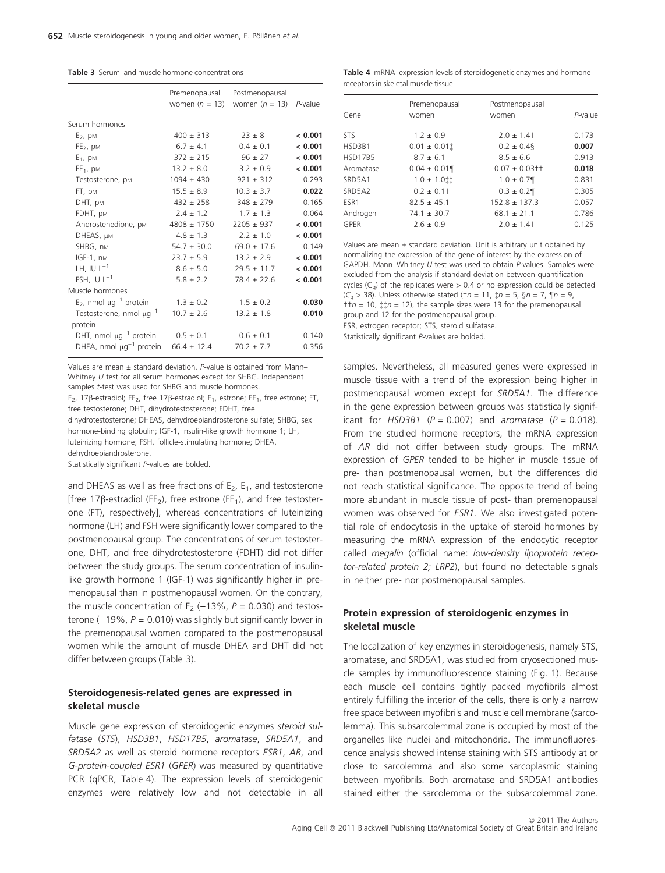Table 3 Serum and muscle hormone concentrations

|                                            | Premenopausal<br>women $(n = 13)$ | Postmenopausal<br>women $(n = 13)$ | P-value |
|--------------------------------------------|-----------------------------------|------------------------------------|---------|
| Serum hormones                             |                                   |                                    |         |
| $E2$ , pm                                  | $400 \pm 313$                     | $23 \pm 8$                         | < 0.001 |
| $FE2$ , pm                                 | $6.7 \pm 4.1$                     | $0.4 \pm 0.1$                      | < 0.001 |
| $E_1$ , pm                                 | $372 + 215$                       | $96 \pm 27$                        | < 0.001 |
| $FE1$ , pm                                 | $13.2 \pm 8.0$                    | $3.2 \pm 0.9$                      | < 0.001 |
| Testosterone, pm                           | $1094 \pm 430$                    | $921 \pm 312$                      | 0.293   |
| FT, pm                                     | $15.5 \pm 8.9$                    | $10.3 \pm 3.7$                     | 0.022   |
| DHT, pm                                    | $432 \pm 258$                     | $348 + 279$                        | 0.165   |
| FDHT, p <sub>M</sub>                       | $2.4 \pm 1.2$                     | $1.7 \pm 1.3$                      | 0.064   |
| Androstenedione, pm                        | $4808 \pm 1750$                   | $2205 + 937$                       | < 0.001 |
| DHEAS, UM                                  | $4.8 \pm 1.3$                     | $2.2 \pm 1.0$                      | < 0.001 |
| SHBG, n <sub>M</sub>                       | $54.7 \pm 30.0$                   | $69.0 \pm 17.6$                    | 0.149   |
| IGF-1, nm                                  | $23.7 \pm 5.9$                    | $13.2 + 2.9$                       | < 0.001 |
| LH, IU $L^{-1}$                            | $8.6 \pm 5.0$                     | $29.5 \pm 11.7$                    | < 0.001 |
| FSH, IU $L^{-1}$                           | $5.8 \pm 2.2$                     | $78.4 \pm 22.6$                    | < 0.001 |
| Muscle hormones                            |                                   |                                    |         |
| $E_2$ , nmol $\mu q^{-1}$ protein          | $1.3 \pm 0.2$                     | $1.5 \pm 0.2$                      | 0.030   |
| Testosterone, nmol $\mu q^{-1}$<br>protein | $10.7 \pm 2.6$                    | $13.2 \pm 1.8$                     | 0.010   |
| DHT, nmol $\mu g^{-1}$ protein             | $0.5 \pm 0.1$                     | $0.6 \pm 0.1$                      | 0.140   |
| DHEA, nmol $\mu q^{-1}$ protein            | $66.4 \pm 12.4$                   | $70.2 \pm 7.7$                     | 0.356   |

Values are mean  $\pm$  standard deviation. P-value is obtained from Mann– Whitney U test for all serum hormones except for SHBG. Independent samples t-test was used for SHBG and muscle hormones.

E<sub>2</sub>, 17β-estradiol; FE<sub>2</sub>, free 17β-estradiol; E<sub>1</sub>, estrone; FE<sub>1</sub>, free estrone; FT, free testosterone; DHT, dihydrotestosterone; FDHT, free

dihydrotestosterone; DHEAS, dehydroepiandrosterone sulfate; SHBG, sex hormone-binding globulin; IGF-1, insulin-like growth hormone 1; LH, luteinizing hormone; FSH, follicle-stimulating hormone; DHEA, dehydroepiandrosterone.

Statistically significant P-values are bolded.

and DHEAS as well as free fractions of  $E_2$ ,  $E_1$ , and testosterone [free 17 $\beta$ -estradiol (FE<sub>2</sub>), free estrone (FE<sub>1</sub>), and free testosterone (FT), respectively], whereas concentrations of luteinizing hormone (LH) and FSH were significantly lower compared to the postmenopausal group. The concentrations of serum testosterone, DHT, and free dihydrotestosterone (FDHT) did not differ between the study groups. The serum concentration of insulinlike growth hormone 1 (IGF-1) was significantly higher in premenopausal than in postmenopausal women. On the contrary, the muscle concentration of  $E_2$  (-13%,  $P = 0.030$ ) and testosterone ( $-19\%$ ,  $P = 0.010$ ) was slightly but significantly lower in the premenopausal women compared to the postmenopausal women while the amount of muscle DHEA and DHT did not differ between groups (Table 3).

#### Steroidogenesis-related genes are expressed in skeletal muscle

Muscle gene expression of steroidogenic enzymes steroid sulfatase (STS), HSD3B1, HSD17B5, aromatase, SRD5A1, and SRD5A2 as well as steroid hormone receptors ESR1, AR, and G-protein-coupled ESR1 (GPER) was measured by quantitative PCR (qPCR, Table 4). The expression levels of steroidogenic enzymes were relatively low and not detectable in all

Table 4 mRNA expression levels of steroidogenetic enzymes and hormone receptors in skeletal muscle tissue

| Gene             | Premenopausal<br>women | Postmenopausal<br>women | P-value |
|------------------|------------------------|-------------------------|---------|
| <b>STS</b>       | $1.2 \pm 0.9$          | $2.0 \pm 1.4$           | 0.173   |
| HSD3B1           | $0.01 \pm 0.011$       | $0.2 \pm 0.4$           | 0.007   |
| <b>HSD17B5</b>   | $8.7 \pm 6.1$          | $8.5 \pm 6.6$           | 0.913   |
| Aromatase        | $0.04 \pm 0.01$        | $0.07 \pm 0.03$ th      | 0.018   |
| SRD5A1           | $1.0 \pm 1.0$ ii       | $1.0 \pm 0.7$           | 0.831   |
| SRD5A2           | $0.2 \pm 0.1$          | $0.3 \pm 0.2$           | 0.305   |
| ESR <sub>1</sub> | $82.5 \pm 45.1$        | $152.8 \pm 137.3$       | 0.057   |
| Androgen         | $74.1 \pm 30.7$        | $68.1 \pm 21.1$         | 0.786   |
| GPER             | $2.6 \pm 0.9$          | $2.0 \pm 1.4$           | 0.125   |

Values are mean  $\pm$  standard deviation. Unit is arbitrary unit obtained by normalizing the expression of the gene of interest by the expression of GAPDH. Mann–Whitney U test was used to obtain P-values. Samples were excluded from the analysis if standard deviation between quantification cycles  $(C_q)$  of the replicates were  $> 0.4$  or no expression could be detected  $(C_q > 38)$ . Unless otherwise stated  $(\dagger n = 11, \dagger n = 5, \S n = 7, \P n = 9, \P n = 10)$  $\pm\tau n = 10$ ,  $\pm\tau n = 12$ ), the sample sizes were 13 for the premenopausal group and 12 for the postmenopausal group. ESR, estrogen receptor; STS, steroid sulfatase.

Statistically significant P-values are bolded.

samples. Nevertheless, all measured genes were expressed in muscle tissue with a trend of the expression being higher in postmenopausal women except for SRD5A1. The difference in the gene expression between groups was statistically significant for  $HSD3B1$  ( $P = 0.007$ ) and aromatase ( $P = 0.018$ ). From the studied hormone receptors, the mRNA expression of AR did not differ between study groups. The mRNA expression of GPER tended to be higher in muscle tissue of pre- than postmenopausal women, but the differences did not reach statistical significance. The opposite trend of being more abundant in muscle tissue of post- than premenopausal women was observed for ESR1. We also investigated potential role of endocytosis in the uptake of steroid hormones by measuring the mRNA expression of the endocytic receptor called megalin (official name: low-density lipoprotein receptor-related protein 2; LRP2), but found no detectable signals in neither pre- nor postmenopausal samples.

## Protein expression of steroidogenic enzymes in skeletal muscle

The localization of key enzymes in steroidogenesis, namely STS, aromatase, and SRD5A1, was studied from cryosectioned muscle samples by immunofluorescence staining (Fig. 1). Because each muscle cell contains tightly packed myofibrils almost entirely fulfilling the interior of the cells, there is only a narrow free space between myofibrils and muscle cell membrane (sarcolemma). This subsarcolemmal zone is occupied by most of the organelles like nuclei and mitochondria. The immunofluorescence analysis showed intense staining with STS antibody at or close to sarcolemma and also some sarcoplasmic staining between myofibrils. Both aromatase and SRD5A1 antibodies stained either the sarcolemma or the subsarcolemmal zone.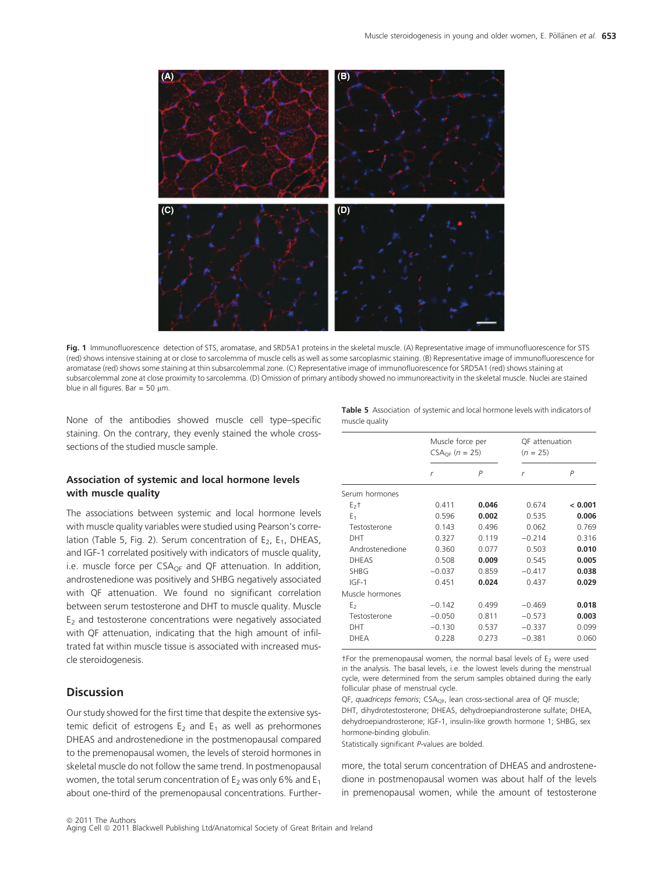

Fig. 1 Immunofluorescence detection of STS, aromatase, and SRD5A1 proteins in the skeletal muscle. (A) Representative image of immunofluorescence for STS (red) shows intensive staining at or close to sarcolemma of muscle cells as well as some sarcoplasmic staining. (B) Representative image of immunofluorescence for aromatase (red) shows some staining at thin subsarcolemmal zone. (C) Representative image of immunofluorescence for SRD5A1 (red) shows staining at subsarcolemmal zone at close proximity to sarcolemma. (D) Omission of primary antibody showed no immunoreactivity in the skeletal muscle. Nuclei are stained blue in all figures. Bar = 50  $\mu$ m.

None of the antibodies showed muscle cell type–specific staining. On the contrary, they evenly stained the whole crosssections of the studied muscle sample.

## Association of systemic and local hormone levels with muscle quality

The associations between systemic and local hormone levels with muscle quality variables were studied using Pearson's correlation (Table 5, Fig. 2). Serum concentration of  $E_2$ ,  $E_1$ , DHEAS, and IGF-1 correlated positively with indicators of muscle quality, i.e. muscle force per  $CSA<sub>OF</sub>$  and QF attenuation. In addition, androstenedione was positively and SHBG negatively associated with QF attenuation. We found no significant correlation between serum testosterone and DHT to muscle quality. Muscle  $E<sub>2</sub>$  and testosterone concentrations were negatively associated with QF attenuation, indicating that the high amount of infiltrated fat within muscle tissue is associated with increased muscle steroidogenesis.

## **Discussion**

Our study showed for the first time that despite the extensive systemic deficit of estrogens  $E_2$  and  $E_1$  as well as prehormones DHEAS and androstenedione in the postmenopausal compared to the premenopausal women, the levels of steroid hormones in skeletal muscle do not follow the same trend. In postmenopausal women, the total serum concentration of  $E_2$  was only 6% and  $E_1$ about one-third of the premenopausal concentrations. Further-

|                | <b>Table 5</b> Association of systemic and local hormone levels with indicators of |  |  |  |
|----------------|------------------------------------------------------------------------------------|--|--|--|
| muscle quality |                                                                                    |  |  |  |

|                 | Muscle force per<br>$CSA_{OF}$ (n = 25) |       | QF attenuation<br>$(n = 25)$ |         |
|-----------------|-----------------------------------------|-------|------------------------------|---------|
|                 | r                                       | P     | r                            | P       |
| Serum hormones  |                                         |       |                              |         |
| $E2$ †          | 0.411                                   | 0.046 | 0.674                        | < 0.001 |
| E <sub>1</sub>  | 0.596                                   | 0.002 | 0.535                        | 0.006   |
| Testosterone    | 0.143                                   | 0.496 | 0.062                        | 0.769   |
| DHT             | 0.327                                   | 0.119 | $-0.214$                     | 0.316   |
| Androstenedione | 0.360                                   | 0.077 | 0.503                        | 0.010   |
| <b>DHEAS</b>    | 0.508                                   | 0.009 | 0.545                        | 0.005   |
| <b>SHBG</b>     | $-0.037$                                | 0.859 | $-0.417$                     | 0.038   |
| $IGF-1$         | 0.451                                   | 0.024 | 0.437                        | 0.029   |
| Muscle hormones |                                         |       |                              |         |
| E,              | $-0.142$                                | 0.499 | $-0.469$                     | 0.018   |
| Testosterone    | $-0.050$                                | 0.811 | $-0.573$                     | 0.003   |
| DHT             | $-0.130$                                | 0.537 | $-0.337$                     | 0.099   |
| DHEA            | 0.228                                   | 0.273 | $-0.381$                     | 0.060   |

 $t$ For the premenopausal women, the normal basal levels of  $E_2$  were used in the analysis. The basal levels, i.e. the lowest levels during the menstrual cycle, were determined from the serum samples obtained during the early follicular phase of menstrual cycle.

QF, quadriceps femoris; CSA<sub>QF</sub>, lean cross-sectional area of QF muscle; DHT, dihydrotestosterone; DHEAS, dehydroepiandrosterone sulfate; DHEA, dehydroepiandrosterone; IGF-1, insulin-like growth hormone 1; SHBG, sex hormone-binding globulin.

Statistically significant P-values are bolded.

more, the total serum concentration of DHEAS and androstenedione in postmenopausal women was about half of the levels in premenopausal women, while the amount of testosterone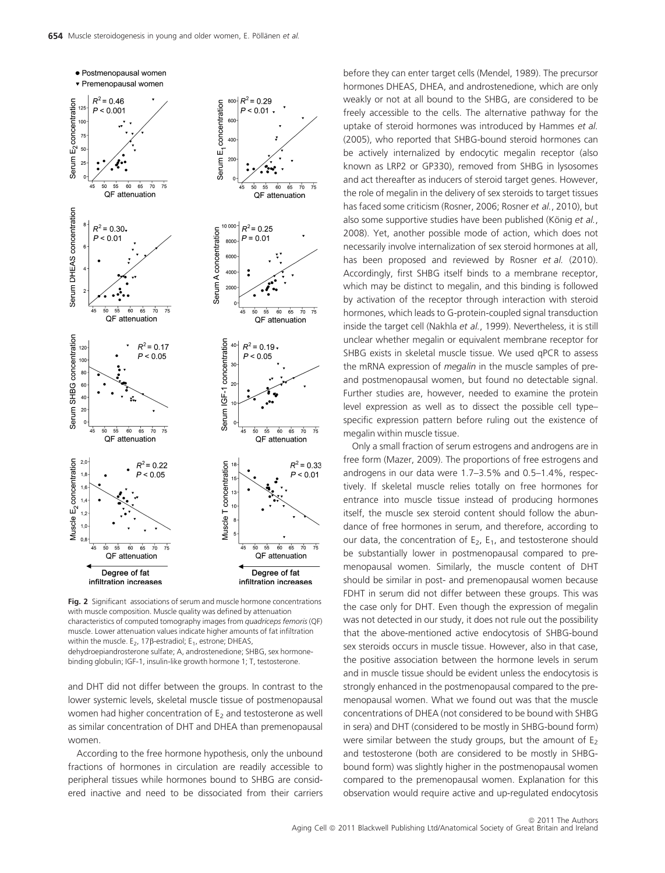

Fig. 2 Significant associations of serum and muscle hormone concentrations with muscle composition. Muscle quality was defined by attenuation characteristics of computed tomography images from quadriceps femoris (QF) muscle. Lower attenuation values indicate higher amounts of fat infiltration within the muscle.  $E_2$ , 17 $\beta$ -estradiol;  $E_1$ , estrone; DHEAS, dehydroepiandrosterone sulfate; A, androstenedione; SHBG, sex hormonebinding globulin; IGF-1, insulin-like growth hormone 1; T, testosterone.

and DHT did not differ between the groups. In contrast to the lower systemic levels, skeletal muscle tissue of postmenopausal women had higher concentration of  $E<sub>2</sub>$  and testosterone as well as similar concentration of DHT and DHEA than premenopausal women.

According to the free hormone hypothesis, only the unbound fractions of hormones in circulation are readily accessible to peripheral tissues while hormones bound to SHBG are considered inactive and need to be dissociated from their carriers before they can enter target cells (Mendel, 1989). The precursor hormones DHEAS, DHEA, and androstenedione, which are only weakly or not at all bound to the SHBG, are considered to be freely accessible to the cells. The alternative pathway for the uptake of steroid hormones was introduced by Hammes et al. (2005), who reported that SHBG-bound steroid hormones can be actively internalized by endocytic megalin receptor (also known as LRP2 or GP330), removed from SHBG in lysosomes and act thereafter as inducers of steroid target genes. However, the role of megalin in the delivery of sex steroids to target tissues has faced some criticism (Rosner, 2006; Rosner et al., 2010), but also some supportive studies have been published (König et al., 2008). Yet, another possible mode of action, which does not necessarily involve internalization of sex steroid hormones at all, has been proposed and reviewed by Rosner et al. (2010). Accordingly, first SHBG itself binds to a membrane receptor, which may be distinct to megalin, and this binding is followed by activation of the receptor through interaction with steroid hormones, which leads to G-protein-coupled signal transduction inside the target cell (Nakhla et al., 1999). Nevertheless, it is still unclear whether megalin or equivalent membrane receptor for SHBG exists in skeletal muscle tissue. We used qPCR to assess the mRNA expression of megalin in the muscle samples of preand postmenopausal women, but found no detectable signal. Further studies are, however, needed to examine the protein level expression as well as to dissect the possible cell type– specific expression pattern before ruling out the existence of megalin within muscle tissue.

Only a small fraction of serum estrogens and androgens are in free form (Mazer, 2009). The proportions of free estrogens and androgens in our data were 1.7–3.5% and 0.5–1.4%, respectively. If skeletal muscle relies totally on free hormones for entrance into muscle tissue instead of producing hormones itself, the muscle sex steroid content should follow the abundance of free hormones in serum, and therefore, according to our data, the concentration of  $E_2$ ,  $E_1$ , and testosterone should be substantially lower in postmenopausal compared to premenopausal women. Similarly, the muscle content of DHT should be similar in post- and premenopausal women because FDHT in serum did not differ between these groups. This was the case only for DHT. Even though the expression of megalin was not detected in our study, it does not rule out the possibility that the above-mentioned active endocytosis of SHBG-bound sex steroids occurs in muscle tissue. However, also in that case, the positive association between the hormone levels in serum and in muscle tissue should be evident unless the endocytosis is strongly enhanced in the postmenopausal compared to the premenopausal women. What we found out was that the muscle concentrations of DHEA (not considered to be bound with SHBG in sera) and DHT (considered to be mostly in SHBG-bound form) were similar between the study groups, but the amount of  $E_2$ and testosterone (both are considered to be mostly in SHBGbound form) was slightly higher in the postmenopausal women compared to the premenopausal women. Explanation for this observation would require active and up-regulated endocytosis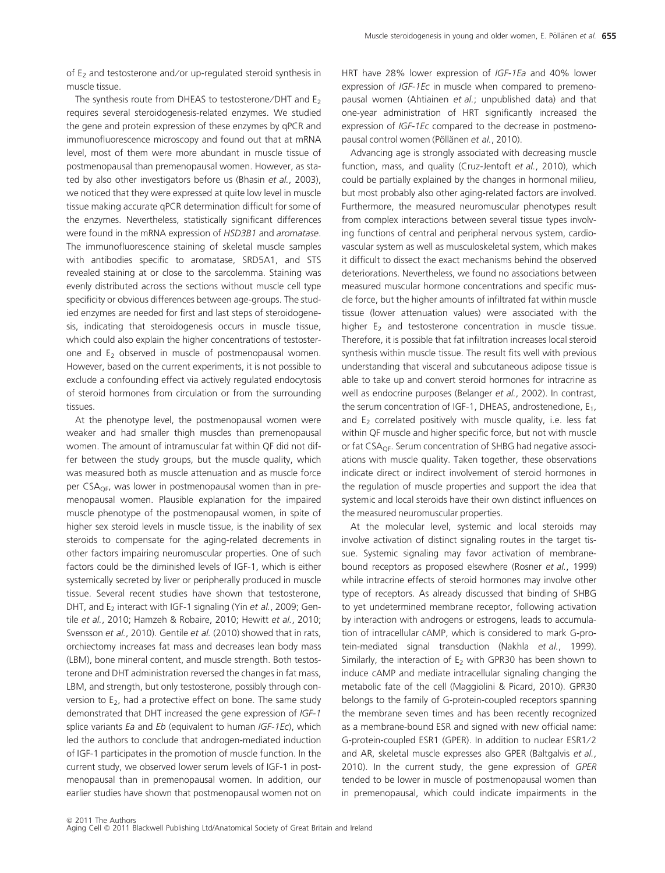of  $E_2$  and testosterone and/or up-regulated steroid synthesis in muscle tissue.

The synthesis route from DHEAS to testosterone/DHT and  $E_2$ requires several steroidogenesis-related enzymes. We studied the gene and protein expression of these enzymes by qPCR and immunofluorescence microscopy and found out that at mRNA level, most of them were more abundant in muscle tissue of postmenopausal than premenopausal women. However, as stated by also other investigators before us (Bhasin et al., 2003), we noticed that they were expressed at quite low level in muscle tissue making accurate qPCR determination difficult for some of the enzymes. Nevertheless, statistically significant differences were found in the mRNA expression of HSD3B1 and aromatase. The immunofluorescence staining of skeletal muscle samples with antibodies specific to aromatase, SRD5A1, and STS revealed staining at or close to the sarcolemma. Staining was evenly distributed across the sections without muscle cell type specificity or obvious differences between age-groups. The studied enzymes are needed for first and last steps of steroidogenesis, indicating that steroidogenesis occurs in muscle tissue, which could also explain the higher concentrations of testosterone and  $E_2$  observed in muscle of postmenopausal women. However, based on the current experiments, it is not possible to exclude a confounding effect via actively regulated endocytosis of steroid hormones from circulation or from the surrounding tissues.

At the phenotype level, the postmenopausal women were weaker and had smaller thigh muscles than premenopausal women. The amount of intramuscular fat within QF did not differ between the study groups, but the muscle quality, which was measured both as muscle attenuation and as muscle force per CSA<sub>OF</sub>, was lower in postmenopausal women than in premenopausal women. Plausible explanation for the impaired muscle phenotype of the postmenopausal women, in spite of higher sex steroid levels in muscle tissue, is the inability of sex steroids to compensate for the aging-related decrements in other factors impairing neuromuscular properties. One of such factors could be the diminished levels of IGF-1, which is either systemically secreted by liver or peripherally produced in muscle tissue. Several recent studies have shown that testosterone, DHT, and  $E_2$  interact with IGF-1 signaling (Yin et al., 2009; Gentile et al., 2010; Hamzeh & Robaire, 2010; Hewitt et al., 2010; Svensson et al., 2010). Gentile et al. (2010) showed that in rats, orchiectomy increases fat mass and decreases lean body mass (LBM), bone mineral content, and muscle strength. Both testosterone and DHT administration reversed the changes in fat mass, LBM, and strength, but only testosterone, possibly through conversion to  $E_2$ , had a protective effect on bone. The same study demonstrated that DHT increased the gene expression of IGF-1 splice variants Ea and Eb (equivalent to human IGF-1Ec), which led the authors to conclude that androgen-mediated induction of IGF-1 participates in the promotion of muscle function. In the current study, we observed lower serum levels of IGF-1 in postmenopausal than in premenopausal women. In addition, our earlier studies have shown that postmenopausal women not on

HRT have 28% lower expression of IGF-1Ea and 40% lower expression of IGF-1Ec in muscle when compared to premenopausal women (Ahtiainen et al.; unpublished data) and that one-year administration of HRT significantly increased the expression of IGF-1Ec compared to the decrease in postmenopausal control women (Pöllänen et al., 2010).

Advancing age is strongly associated with decreasing muscle function, mass, and quality (Cruz-Jentoft et al., 2010), which could be partially explained by the changes in hormonal milieu, but most probably also other aging-related factors are involved. Furthermore, the measured neuromuscular phenotypes result from complex interactions between several tissue types involving functions of central and peripheral nervous system, cardiovascular system as well as musculoskeletal system, which makes it difficult to dissect the exact mechanisms behind the observed deteriorations. Nevertheless, we found no associations between measured muscular hormone concentrations and specific muscle force, but the higher amounts of infiltrated fat within muscle tissue (lower attenuation values) were associated with the higher  $E_2$  and testosterone concentration in muscle tissue. Therefore, it is possible that fat infiltration increases local steroid synthesis within muscle tissue. The result fits well with previous understanding that visceral and subcutaneous adipose tissue is able to take up and convert steroid hormones for intracrine as well as endocrine purposes (Belanger et al., 2002). In contrast, the serum concentration of IGF-1, DHEAS, androstenedione,  $E_1$ , and  $E_2$  correlated positively with muscle quality, i.e. less fat within QF muscle and higher specific force, but not with muscle or fat CSA<sub>OF</sub>. Serum concentration of SHBG had negative associations with muscle quality. Taken together, these observations indicate direct or indirect involvement of steroid hormones in the regulation of muscle properties and support the idea that systemic and local steroids have their own distinct influences on the measured neuromuscular properties.

At the molecular level, systemic and local steroids may involve activation of distinct signaling routes in the target tissue. Systemic signaling may favor activation of membranebound receptors as proposed elsewhere (Rosner et al., 1999) while intracrine effects of steroid hormones may involve other type of receptors. As already discussed that binding of SHBG to yet undetermined membrane receptor, following activation by interaction with androgens or estrogens, leads to accumulation of intracellular cAMP, which is considered to mark G-protein-mediated signal transduction (Nakhla et al., 1999). Similarly, the interaction of  $E_2$  with GPR30 has been shown to induce cAMP and mediate intracellular signaling changing the metabolic fate of the cell (Maggiolini & Picard, 2010). GPR30 belongs to the family of G-protein-coupled receptors spanning the membrane seven times and has been recently recognized as a membrane-bound ESR and signed with new official name: G-protein-coupled ESR1 (GPER). In addition to nuclear ESR1/2 and AR, skeletal muscle expresses also GPER (Baltgalvis et al., 2010). In the current study, the gene expression of GPER tended to be lower in muscle of postmenopausal women than in premenopausal, which could indicate impairments in the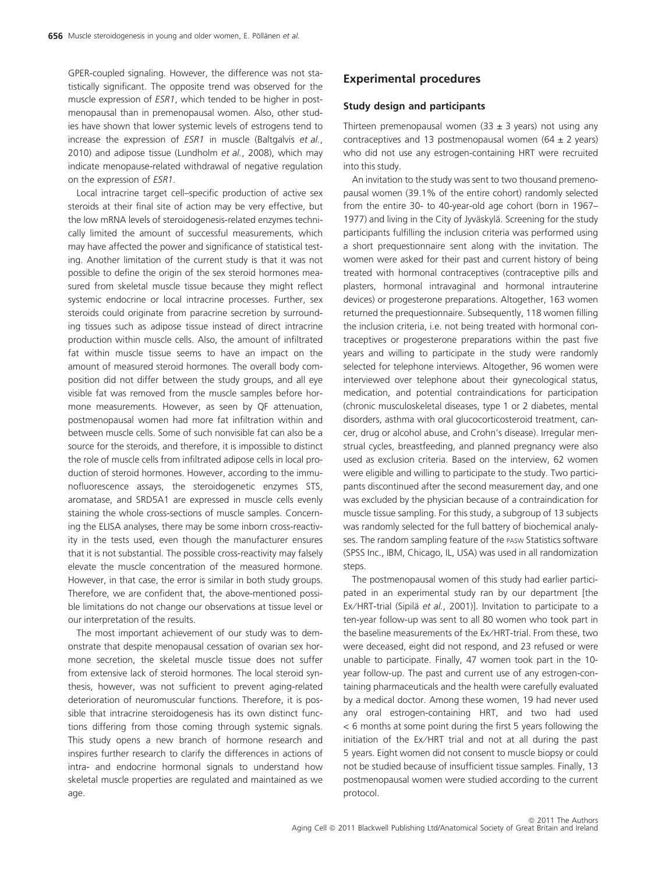GPER-coupled signaling. However, the difference was not statistically significant. The opposite trend was observed for the muscle expression of ESR1, which tended to be higher in postmenopausal than in premenopausal women. Also, other studies have shown that lower systemic levels of estrogens tend to increase the expression of *ESR1* in muscle (Baltgalvis et al., 2010) and adipose tissue (Lundholm et al., 2008), which may indicate menopause-related withdrawal of negative regulation on the expression of ESR1.

Local intracrine target cell–specific production of active sex steroids at their final site of action may be very effective, but the low mRNA levels of steroidogenesis-related enzymes technically limited the amount of successful measurements, which may have affected the power and significance of statistical testing. Another limitation of the current study is that it was not possible to define the origin of the sex steroid hormones measured from skeletal muscle tissue because they might reflect systemic endocrine or local intracrine processes. Further, sex steroids could originate from paracrine secretion by surrounding tissues such as adipose tissue instead of direct intracrine production within muscle cells. Also, the amount of infiltrated fat within muscle tissue seems to have an impact on the amount of measured steroid hormones. The overall body composition did not differ between the study groups, and all eye visible fat was removed from the muscle samples before hormone measurements. However, as seen by QF attenuation, postmenopausal women had more fat infiltration within and between muscle cells. Some of such nonvisible fat can also be a source for the steroids, and therefore, it is impossible to distinct the role of muscle cells from infiltrated adipose cells in local production of steroid hormones. However, according to the immunofluorescence assays, the steroidogenetic enzymes STS, aromatase, and SRD5A1 are expressed in muscle cells evenly staining the whole cross-sections of muscle samples. Concerning the ELISA analyses, there may be some inborn cross-reactivity in the tests used, even though the manufacturer ensures that it is not substantial. The possible cross-reactivity may falsely elevate the muscle concentration of the measured hormone. However, in that case, the error is similar in both study groups. Therefore, we are confident that, the above-mentioned possible limitations do not change our observations at tissue level or our interpretation of the results.

The most important achievement of our study was to demonstrate that despite menopausal cessation of ovarian sex hormone secretion, the skeletal muscle tissue does not suffer from extensive lack of steroid hormones. The local steroid synthesis, however, was not sufficient to prevent aging-related deterioration of neuromuscular functions. Therefore, it is possible that intracrine steroidogenesis has its own distinct functions differing from those coming through systemic signals. This study opens a new branch of hormone research and inspires further research to clarify the differences in actions of intra- and endocrine hormonal signals to understand how skeletal muscle properties are regulated and maintained as we age.

## Experimental procedures

#### Study design and participants

Thirteen premenopausal women (33  $\pm$  3 years) not using any contraceptives and 13 postmenopausal women (64  $\pm$  2 years) who did not use any estrogen-containing HRT were recruited into this study.

An invitation to the study was sent to two thousand premenopausal women (39.1% of the entire cohort) randomly selected from the entire 30- to 40-year-old age cohort (born in 1967– 1977) and living in the City of Jyväskylä. Screening for the study participants fulfilling the inclusion criteria was performed using a short prequestionnaire sent along with the invitation. The women were asked for their past and current history of being treated with hormonal contraceptives (contraceptive pills and plasters, hormonal intravaginal and hormonal intrauterine devices) or progesterone preparations. Altogether, 163 women returned the prequestionnaire. Subsequently, 118 women filling the inclusion criteria, i.e. not being treated with hormonal contraceptives or progesterone preparations within the past five years and willing to participate in the study were randomly selected for telephone interviews. Altogether, 96 women were interviewed over telephone about their gynecological status, medication, and potential contraindications for participation (chronic musculoskeletal diseases, type 1 or 2 diabetes, mental disorders, asthma with oral glucocorticosteroid treatment, cancer, drug or alcohol abuse, and Crohn's disease). Irregular menstrual cycles, breastfeeding, and planned pregnancy were also used as exclusion criteria. Based on the interview, 62 women were eligible and willing to participate to the study. Two participants discontinued after the second measurement day, and one was excluded by the physician because of a contraindication for muscle tissue sampling. For this study, a subgroup of 13 subjects was randomly selected for the full battery of biochemical analyses. The random sampling feature of the PASW Statistics software (SPSS Inc., IBM, Chicago, IL, USA) was used in all randomization steps.

The postmenopausal women of this study had earlier participated in an experimental study ran by our department [the Ex/HRT-trial (Sipilä et al., 2001)]. Invitation to participate to a ten-year follow-up was sent to all 80 women who took part in the baseline measurements of the Ex ⁄HRT-trial. From these, two were deceased, eight did not respond, and 23 refused or were unable to participate. Finally, 47 women took part in the 10 year follow-up. The past and current use of any estrogen-containing pharmaceuticals and the health were carefully evaluated by a medical doctor. Among these women, 19 had never used any oral estrogen-containing HRT, and two had used < 6 months at some point during the first 5 years following the initiation of the Ex/HRT trial and not at all during the past 5 years. Eight women did not consent to muscle biopsy or could not be studied because of insufficient tissue samples. Finally, 13 postmenopausal women were studied according to the current protocol.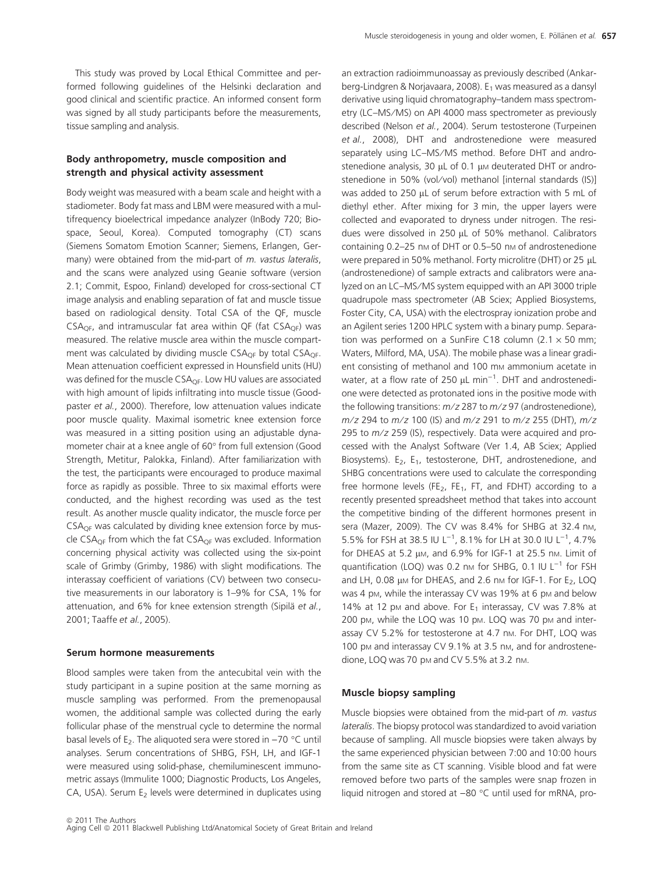This study was proved by Local Ethical Committee and performed following guidelines of the Helsinki declaration and good clinical and scientific practice. An informed consent form was signed by all study participants before the measurements, tissue sampling and analysis.

## Body anthropometry, muscle composition and strength and physical activity assessment

Body weight was measured with a beam scale and height with a stadiometer. Body fat mass and LBM were measured with a multifrequency bioelectrical impedance analyzer (InBody 720; Biospace, Seoul, Korea). Computed tomography (CT) scans (Siemens Somatom Emotion Scanner; Siemens, Erlangen, Germany) were obtained from the mid-part of *m. vastus lateralis*, and the scans were analyzed using Geanie software (version 2.1; Commit, Espoo, Finland) developed for cross-sectional CT image analysis and enabling separation of fat and muscle tissue based on radiological density. Total CSA of the QF, muscle  $CSA<sub>OE</sub>$ , and intramuscular fat area within QF (fat  $CSA<sub>OE</sub>$ ) was measured. The relative muscle area within the muscle compartment was calculated by dividing muscle  $CSA_{QF}$  by total  $CSA_{QF}$ . Mean attenuation coefficient expressed in Hounsfield units (HU) was defined for the muscle CSA<sub>QF</sub>. Low HU values are associated with high amount of lipids infiltrating into muscle tissue (Goodpaster et al., 2000). Therefore, low attenuation values indicate poor muscle quality. Maximal isometric knee extension force was measured in a sitting position using an adjustable dynamometer chair at a knee angle of 60° from full extension (Good Strength, Metitur, Palokka, Finland). After familiarization with the test, the participants were encouraged to produce maximal force as rapidly as possible. Three to six maximal efforts were conducted, and the highest recording was used as the test result. As another muscle quality indicator, the muscle force per  $CSA<sub>OF</sub>$  was calculated by dividing knee extension force by muscle CSA<sub>OF</sub> from which the fat CSA<sub>OF</sub> was excluded. Information concerning physical activity was collected using the six-point scale of Grimby (Grimby, 1986) with slight modifications. The interassay coefficient of variations (CV) between two consecutive measurements in our laboratory is 1–9% for CSA, 1% for attenuation, and 6% for knee extension strength (Sipilä et al., 2001; Taaffe et al., 2005).

#### Serum hormone measurements

Blood samples were taken from the antecubital vein with the study participant in a supine position at the same morning as muscle sampling was performed. From the premenopausal women, the additional sample was collected during the early follicular phase of the menstrual cycle to determine the normal basal levels of  $E_2$ . The aliquoted sera were stored in  $-70$  °C until analyses. Serum concentrations of SHBG, FSH, LH, and IGF-1 were measured using solid-phase, chemiluminescent immunometric assays (Immulite 1000; Diagnostic Products, Los Angeles, CA, USA). Serum  $E_2$  levels were determined in duplicates using

an extraction radioimmunoassay as previously described (Ankarberg-Lindgren & Norjavaara, 2008).  $E_1$  was measured as a dansyl derivative using liquid chromatography–tandem mass spectrometry (LC–MS/MS) on API 4000 mass spectrometer as previously described (Nelson et al., 2004). Serum testosterone (Turpeinen et al., 2008), DHT and androstenedione were measured separately using LC-MS/MS method. Before DHT and androstenedione analysis, 30 µL of 0.1 µM deuterated DHT or androstenedione in 50% (vol/vol) methanol [internal standards (IS)] was added to 250 µL of serum before extraction with 5 mL of diethyl ether. After mixing for 3 min, the upper layers were collected and evaporated to dryness under nitrogen. The residues were dissolved in 250  $\mu$ L of 50% methanol. Calibrators containing 0.2-25 nm of DHT or 0.5-50 nm of androstenedione were prepared in 50% methanol. Forty microlitre (DHT) or 25 µL (androstenedione) of sample extracts and calibrators were analyzed on an LC-MS/MS system equipped with an API 3000 triple quadrupole mass spectrometer (AB Sciex; Applied Biosystems, Foster City, CA, USA) with the electrospray ionization probe and an Agilent series 1200 HPLC system with a binary pump. Separation was performed on a SunFire C18 column (2.1  $\times$  50 mm; Waters, Milford, MA, USA). The mobile phase was a linear gradient consisting of methanol and 100 mm ammonium acetate in water, at a flow rate of 250  $\mu$ L min<sup>-1</sup>. DHT and androstenedione were detected as protonated ions in the positive mode with the following transitions:  $m/z$  287 to  $m/z$  97 (androstenedione),  $m/z$  294 to  $m/z$  100 (IS) and  $m/z$  291 to  $m/z$  255 (DHT),  $m/z$ 295 to  $m/z$  259 (IS), respectively. Data were acquired and processed with the Analyst Software (Ver 1.4, AB Sciex; Applied Biosystems).  $E_2$ ,  $E_1$ , testosterone, DHT, androstenedione, and SHBG concentrations were used to calculate the corresponding free hormone levels (FE<sub>2</sub>, FE<sub>1</sub>, FT, and FDHT) according to a recently presented spreadsheet method that takes into account the competitive binding of the different hormones present in sera (Mazer, 2009). The CV was 8.4% for SHBG at 32.4 nm, 5.5% for FSH at 38.5 IU L<sup>-1</sup>, 8.1% for LH at 30.0 IU L<sup>-1</sup>, 4.7% for DHEAS at 5.2  $\mu$ m, and 6.9% for IGF-1 at 25.5 nm. Limit of quantification (LOQ) was 0.2 nm for SHBG, 0.1 IU  $L^{-1}$  for FSH and LH, 0.08  $\mu$ m for DHEAS, and 2.6 nm for IGF-1. For E<sub>2</sub>, LOQ was 4 рм, while the interassay CV was 19% at 6 рм and below 14% at 12 pm and above. For  $E_1$  interassay, CV was 7.8% at 200 рм, while the LOQ was 10 рм. LOQ was 70 рм and interassay CV 5.2% for testosterone at 4.7 nm. For DHT, LOQ was 100 pm and interassay CV 9.1% at 3.5 nm, and for androstenedione, LOQ was 70 pm and CV 5.5% at 3.2 nm.

#### Muscle biopsy sampling

Muscle biopsies were obtained from the mid-part of  $m$ . vastus lateralis. The biopsy protocol was standardized to avoid variation because of sampling. All muscle biopsies were taken always by the same experienced physician between 7:00 and 10:00 hours from the same site as CT scanning. Visible blood and fat were removed before two parts of the samples were snap frozen in liquid nitrogen and stored at  $-80$  °C until used for mRNA, pro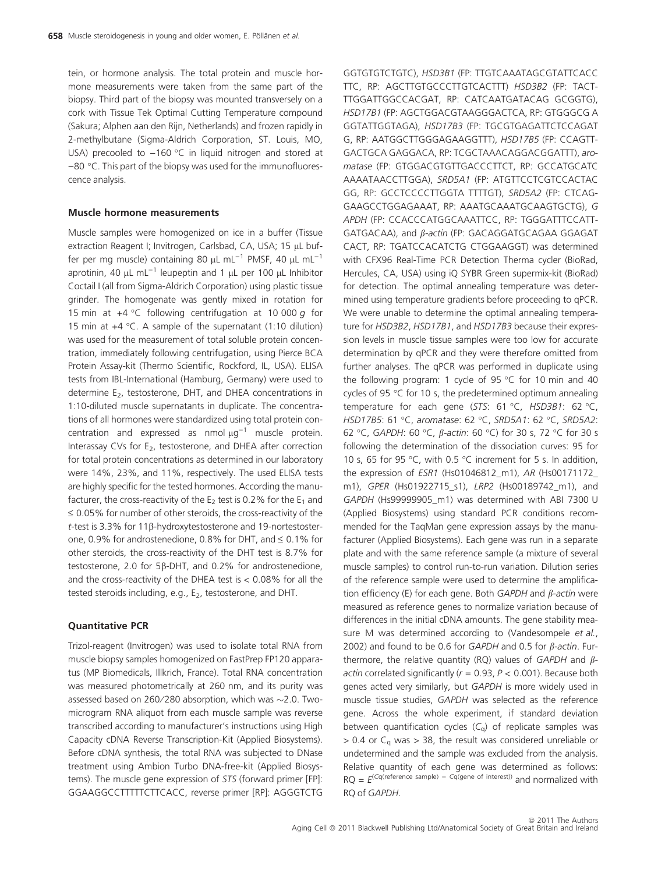tein, or hormone analysis. The total protein and muscle hormone measurements were taken from the same part of the biopsy. Third part of the biopsy was mounted transversely on a cork with Tissue Tek Optimal Cutting Temperature compound (Sakura; Alphen aan den Rijn, Netherlands) and frozen rapidly in 2-methylbutane (Sigma-Aldrich Corporation, ST. Louis, MO, USA) precooled to  $-160$  °C in liquid nitrogen and stored at  $-$ 80 °C. This part of the biopsy was used for the immunofluorescence analysis.

#### Muscle hormone measurements

Muscle samples were homogenized on ice in a buffer (Tissue extraction Reagent I; Invitrogen, Carlsbad, CA, USA; 15 µL buffer per mg muscle) containing 80  $\mu$ L mL<sup>-1</sup> PMSF, 40  $\mu$ L mL<sup>-1</sup> aprotinin, 40  $\mu$ L mL<sup>-1</sup> leupeptin and 1  $\mu$ L per 100  $\mu$ L Inhibitor Coctail I (all from Sigma-Aldrich Corporation) using plastic tissue grinder. The homogenate was gently mixed in rotation for 15 min at  $+4$  °C following centrifugation at 10 000 g for 15 min at  $+4$  °C. A sample of the supernatant (1:10 dilution) was used for the measurement of total soluble protein concentration, immediately following centrifugation, using Pierce BCA Protein Assay-kit (Thermo Scientific, Rockford, IL, USA). ELISA tests from IBL-International (Hamburg, Germany) were used to determine E<sub>2</sub>, testosterone, DHT, and DHEA concentrations in 1:10-diluted muscle supernatants in duplicate. The concentrations of all hormones were standardized using total protein concentration and expressed as nmol  $\mu$ g<sup>-1</sup> muscle protein. Interassay CVs for  $E_2$ , testosterone, and DHEA after correction for total protein concentrations as determined in our laboratory were 14%, 23%, and 11%, respectively. The used ELISA tests are highly specific for the tested hormones. According the manufacturer, the cross-reactivity of the  $E_2$  test is 0.2% for the  $E_1$  and  $\leq$  0.05% for number of other steroids, the cross-reactivity of the t-test is 3.3% for 11ß-hydroxytestosterone and 19-nortestosterone, 0.9% for androstenedione, 0.8% for DHT, and  $\leq$  0.1% for other steroids, the cross-reactivity of the DHT test is 8.7% for testosterone, 2.0 for 5β-DHT, and 0.2% for androstenedione, and the cross-reactivity of the DHEA test is < 0.08% for all the tested steroids including, e.g., E<sub>2</sub>, testosterone, and DHT.

#### Quantitative PCR

Trizol-reagent (Invitrogen) was used to isolate total RNA from muscle biopsy samples homogenized on FastPrep FP120 apparatus (MP Biomedicals, Illkrich, France). Total RNA concentration was measured photometrically at 260 nm, and its purity was assessed based on 260/280 absorption, which was  $\sim$ 2.0. Twomicrogram RNA aliquot from each muscle sample was reverse transcribed according to manufacturer's instructions using High Capacity cDNA Reverse Transcription-Kit (Applied Biosystems). Before cDNA synthesis, the total RNA was subjected to DNase treatment using Ambion Turbo DNA-free-kit (Applied Biosystems). The muscle gene expression of STS (forward primer [FP]: GGAAGGCCTTTTTCTTCACC, reverse primer [RP]: AGGGTCTG

GGTGTGTCTGTC), HSD3B1 (FP: TTGTCAAATAGCGTATTCACC TTC, RP: AGCTTGTGCCCTTGTCACTTT) HSD3B2 (FP: TACT-TTGGATTGGCCACGAT, RP: CATCAATGATACAG GCGGTG), HSD17B1 (FP: AGCTGGACGTAAGGGACTCA, RP: GTGGGCG A GGTATTGGTAGA), HSD17B3 (FP: TGCGTGAGATTCTCCAGAT G, RP: AATGGCTTGGGAGAAGGTTT), HSD17B5 (FP: CCAGTT-GACTGCA GAGGACA, RP: TCGCTAAACAGGACGGATTT), aromatase (FP: GTGGACGTGTTGACCCTTCT, RP: GCCATGCATC AAAATAACCTTGGA), SRD5A1 (FP: ATGTTCCTCGTCCACTAC GG, RP: GCCTCCCCTTGGTA TTTTGT), SRD5A2 (FP: CTCAG-GAAGCCTGGAGAAAT, RP: AAATGCAAATGCAAGTGCTG), G APDH (FP: CCACCCATGGCAAATTCC, RP: TGGGATTTCCATT- $GATGACA$ , and  $\beta$ -actin (FP:  $GACAGGATGCAGAA GGAGAT$ CACT, RP: TGATCCACATCTG CTGGAAGGT) was determined with CFX96 Real-Time PCR Detection Therma cycler (BioRad, Hercules, CA, USA) using iQ SYBR Green supermix-kit (BioRad) for detection. The optimal annealing temperature was determined using temperature gradients before proceeding to qPCR. We were unable to determine the optimal annealing temperature for HSD3B2, HSD17B1, and HSD17B3 because their expression levels in muscle tissue samples were too low for accurate determination by qPCR and they were therefore omitted from further analyses. The qPCR was performed in duplicate using the following program: 1 cycle of 95  $\degree$ C for 10 min and 40 cycles of 95  $\degree$ C for 10 s, the predetermined optimum annealing temperature for each gene (STS: 61 °C,  $HSD3B1$ : 62 °C, HSD17B5: 61 °C, aromatase: 62 °C, SRD5A1: 62 °C, SRD5A2: 62 °C, GAPDH: 60 °C,  $\beta$ -actin: 60 °C) for 30 s, 72 °C for 30 s following the determination of the dissociation curves: 95 for 10 s, 65 for 95  $\degree$ C, with 0.5  $\degree$ C increment for 5 s. In addition, the expression of ESR1 (Hs01046812\_m1), AR (Hs00171172\_ m1), GPER (Hs01922715\_s1), LRP2 (Hs00189742\_m1), and GAPDH (Hs99999905\_m1) was determined with ABI 7300 U (Applied Biosystems) using standard PCR conditions recommended for the TaqMan gene expression assays by the manufacturer (Applied Biosystems). Each gene was run in a separate plate and with the same reference sample (a mixture of several muscle samples) to control run-to-run variation. Dilution series of the reference sample were used to determine the amplification efficiency (E) for each gene. Both GAPDH and  $\beta$ -actin were measured as reference genes to normalize variation because of differences in the initial cDNA amounts. The gene stability measure M was determined according to (Vandesompele et al., 2002) and found to be 0.6 for GAPDH and 0.5 for  $\beta$ -actin. Furthermore, the relative quantity (RQ) values of GAPDH and  $\beta$ actin correlated significantly ( $r = 0.93$ ,  $P < 0.001$ ). Because both genes acted very similarly, but GAPDH is more widely used in muscle tissue studies, GAPDH was selected as the reference gene. Across the whole experiment, if standard deviation between quantification cycles  $(C_{q})$  of replicate samples was  $> 0.4$  or C<sub>a</sub> was  $> 38$ , the result was considered unreliable or undetermined and the sample was excluded from the analysis. Relative quantity of each gene was determined as follows:  $RO = E^{(Cq(reference sample) - Cq(gene of interest))}$  and normalized with RQ of GAPDH.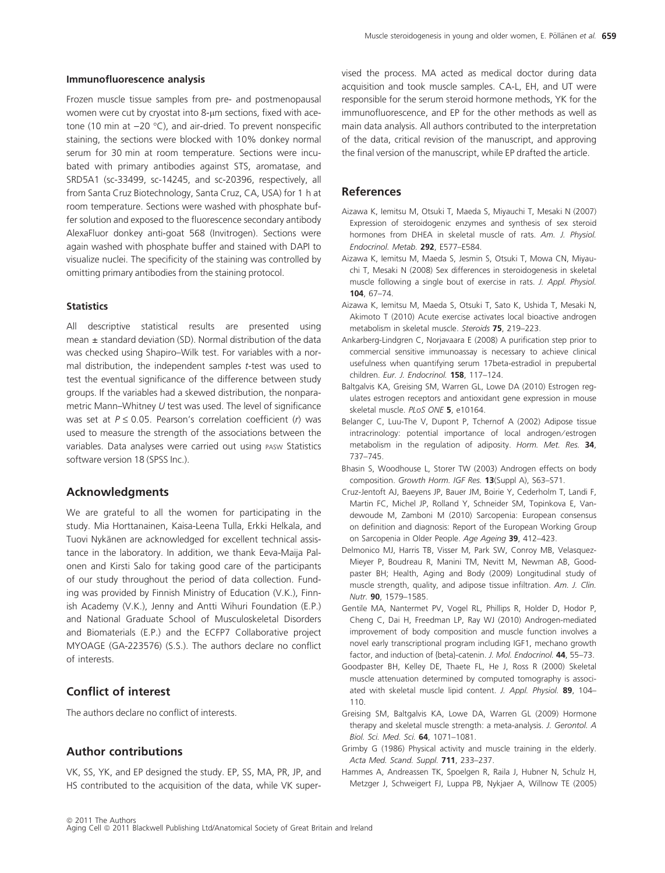Frozen muscle tissue samples from pre- and postmenopausal women were cut by cryostat into 8-um sections, fixed with acetone (10 min at –20 °C), and air-dried. To prevent nonspecific staining, the sections were blocked with 10% donkey normal serum for 30 min at room temperature. Sections were incubated with primary antibodies against STS, aromatase, and SRD5A1 (sc-33499, sc-14245, and sc-20396, respectively, all from Santa Cruz Biotechnology, Santa Cruz, CA, USA) for 1 h at room temperature. Sections were washed with phosphate buffer solution and exposed to the fluorescence secondary antibody AlexaFluor donkey anti-goat 568 (Invitrogen). Sections were again washed with phosphate buffer and stained with DAPI to visualize nuclei. The specificity of the staining was controlled by omitting primary antibodies from the staining protocol.

#### **Statistics**

All descriptive statistical results are presented using mean  $\pm$  standard deviation (SD). Normal distribution of the data was checked using Shapiro–Wilk test. For variables with a normal distribution, the independent samples t-test was used to test the eventual significance of the difference between study groups. If the variables had a skewed distribution, the nonparametric Mann–Whitney U test was used. The level of significance was set at  $P \le 0.05$ . Pearson's correlation coefficient (r) was used to measure the strength of the associations between the variables. Data analyses were carried out using PASW Statistics software version 18 (SPSS Inc.).

## Acknowledgments

We are grateful to all the women for participating in the study. Mia Horttanainen, Kaisa-Leena Tulla, Erkki Helkala, and Tuovi Nykänen are acknowledged for excellent technical assistance in the laboratory. In addition, we thank Eeva-Maija Palonen and Kirsti Salo for taking good care of the participants of our study throughout the period of data collection. Funding was provided by Finnish Ministry of Education (V.K.), Finnish Academy (V.K.), Jenny and Antti Wihuri Foundation (E.P.) and National Graduate School of Musculoskeletal Disorders and Biomaterials (E.P.) and the ECFP7 Collaborative project MYOAGE (GA-223576) (S.S.). The authors declare no conflict of interests.

## Conflict of interest

The authors declare no conflict of interests.

## Author contributions

VK, SS, YK, and EP designed the study. EP, SS, MA, PR, JP, and HS contributed to the acquisition of the data, while VK supervised the process. MA acted as medical doctor during data acquisition and took muscle samples. CA-L, EH, and UT were responsible for the serum steroid hormone methods, YK for the immunofluorescence, and EP for the other methods as well as main data analysis. All authors contributed to the interpretation of the data, critical revision of the manuscript, and approving the final version of the manuscript, while EP drafted the article.

## References

- Aizawa K, Iemitsu M, Otsuki T, Maeda S, Miyauchi T, Mesaki N (2007) Expression of steroidogenic enzymes and synthesis of sex steroid hormones from DHEA in skeletal muscle of rats. Am. J. Physiol. Endocrinol. Metab. 292, E577–E584.
- Aizawa K, Iemitsu M, Maeda S, Jesmin S, Otsuki T, Mowa CN, Miyauchi T, Mesaki N (2008) Sex differences in steroidogenesis in skeletal muscle following a single bout of exercise in rats. J. Appl. Physiol. 104, 67–74.
- Aizawa K, Iemitsu M, Maeda S, Otsuki T, Sato K, Ushida T, Mesaki N, Akimoto T (2010) Acute exercise activates local bioactive androgen metabolism in skeletal muscle. Steroids 75, 219–223.
- Ankarberg-Lindgren C, Norjavaara E (2008) A purification step prior to commercial sensitive immunoassay is necessary to achieve clinical usefulness when quantifying serum 17beta-estradiol in prepubertal children. Eur. J. Endocrinol. 158, 117-124.
- Baltgalvis KA, Greising SM, Warren GL, Lowe DA (2010) Estrogen regulates estrogen receptors and antioxidant gene expression in mouse skeletal muscle. PLoS ONE 5, e10164.
- Belanger C, Luu-The V, Dupont P, Tchernof A (2002) Adipose tissue intracrinology: potential importance of local androgen/estrogen metabolism in the regulation of adiposity. Horm. Met. Res. 34, 737–745.
- Bhasin S, Woodhouse L, Storer TW (2003) Androgen effects on body composition. Growth Horm. IGF Res. 13(Suppl A), S63–S71.
- Cruz-Jentoft AJ, Baeyens JP, Bauer JM, Boirie Y, Cederholm T, Landi F, Martin FC, Michel JP, Rolland Y, Schneider SM, Topinkova E, Vandewoude M, Zamboni M (2010) Sarcopenia: European consensus on definition and diagnosis: Report of the European Working Group on Sarcopenia in Older People. Age Ageing 39, 412–423.
- Delmonico MJ, Harris TB, Visser M, Park SW, Conroy MB, Velasquez-Mieyer P, Boudreau R, Manini TM, Nevitt M, Newman AB, Goodpaster BH; Health, Aging and Body (2009) Longitudinal study of muscle strength, quality, and adipose tissue infiltration. Am. J. Clin. Nutr. 90, 1579–1585.
- Gentile MA, Nantermet PV, Vogel RL, Phillips R, Holder D, Hodor P, Cheng C, Dai H, Freedman LP, Ray WJ (2010) Androgen-mediated improvement of body composition and muscle function involves a novel early transcriptional program including IGF1, mechano growth factor, and induction of {beta}-catenin. J. Mol. Endocrinol. 44, 55-73.
- Goodpaster BH, Kelley DE, Thaete FL, He J, Ross R (2000) Skeletal muscle attenuation determined by computed tomography is associated with skeletal muscle lipid content. J. Appl. Physiol. 89, 104– 110.
- Greising SM, Baltgalvis KA, Lowe DA, Warren GL (2009) Hormone therapy and skeletal muscle strength: a meta-analysis. J. Gerontol. A Biol. Sci. Med. Sci. 64, 1071–1081.
- Grimby G (1986) Physical activity and muscle training in the elderly. Acta Med. Scand. Suppl. 711, 233-237.
- Hammes A, Andreassen TK, Spoelgen R, Raila J, Hubner N, Schulz H, Metzger J, Schweigert FJ, Luppa PB, Nykjaer A, Willnow TE (2005)